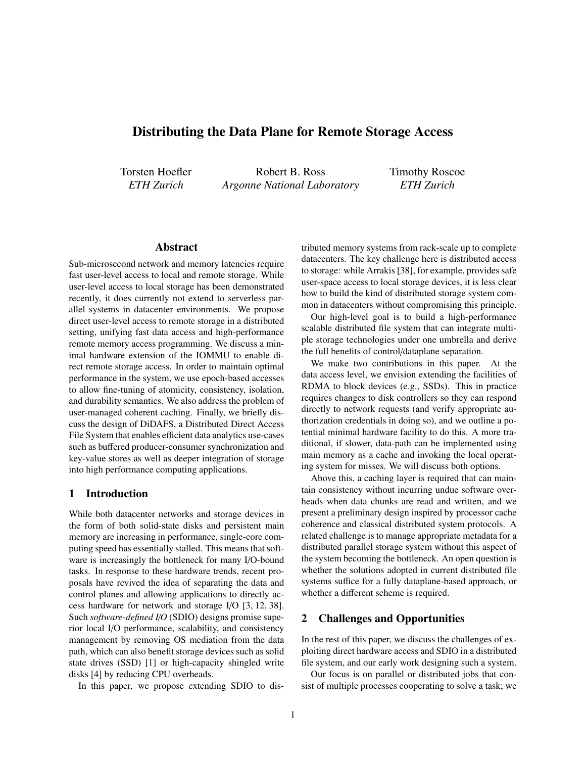# Distributing the Data Plane for Remote Storage Access

Torsten Hoefler *ETH Zurich*

Robert B. Ross *Argonne National Laboratory* Timothy Roscoe *ETH Zurich*

# Abstract

Sub-microsecond network and memory latencies require fast user-level access to local and remote storage. While user-level access to local storage has been demonstrated recently, it does currently not extend to serverless parallel systems in datacenter environments. We propose direct user-level access to remote storage in a distributed setting, unifying fast data access and high-performance remote memory access programming. We discuss a minimal hardware extension of the IOMMU to enable direct remote storage access. In order to maintain optimal performance in the system, we use epoch-based accesses to allow fine-tuning of atomicity, consistency, isolation, and durability semantics. We also address the problem of user-managed coherent caching. Finally, we briefly discuss the design of DiDAFS, a Distributed Direct Access File System that enables efficient data analytics use-cases such as buffered producer-consumer synchronization and key-value stores as well as deeper integration of storage into high performance computing applications.

### 1 Introduction

While both datacenter networks and storage devices in the form of both solid-state disks and persistent main memory are increasing in performance, single-core computing speed has essentially stalled. This means that software is increasingly the bottleneck for many I/O-bound tasks. In response to these hardware trends, recent proposals have revived the idea of separating the data and control planes and allowing applications to directly access hardware for network and storage I/O [3, 12, 38]. Such *software-defined I*/*O* (SDIO) designs promise superior local I/O performance, scalability, and consistency management by removing OS mediation from the data path, which can also benefit storage devices such as solid state drives (SSD) [1] or high-capacity shingled write disks [4] by reducing CPU overheads.

In this paper, we propose extending SDIO to dis-

tributed memory systems from rack-scale up to complete datacenters. The key challenge here is distributed access to storage: while Arrakis [38], for example, provides safe user-space access to local storage devices, it is less clear how to build the kind of distributed storage system common in datacenters without compromising this principle.

Our high-level goal is to build a high-performance scalable distributed file system that can integrate multiple storage technologies under one umbrella and derive the full benefits of control/dataplane separation.

We make two contributions in this paper. At the data access level, we envision extending the facilities of RDMA to block devices (e.g., SSDs). This in practice requires changes to disk controllers so they can respond directly to network requests (and verify appropriate authorization credentials in doing so), and we outline a potential minimal hardware facility to do this. A more traditional, if slower, data-path can be implemented using main memory as a cache and invoking the local operating system for misses. We will discuss both options.

Above this, a caching layer is required that can maintain consistency without incurring undue software overheads when data chunks are read and written, and we present a preliminary design inspired by processor cache coherence and classical distributed system protocols. A related challenge is to manage appropriate metadata for a distributed parallel storage system without this aspect of the system becoming the bottleneck. An open question is whether the solutions adopted in current distributed file systems suffice for a fully dataplane-based approach, or whether a different scheme is required.

# 2 Challenges and Opportunities

In the rest of this paper, we discuss the challenges of exploiting direct hardware access and SDIO in a distributed file system, and our early work designing such a system.

Our focus is on parallel or distributed jobs that consist of multiple processes cooperating to solve a task; we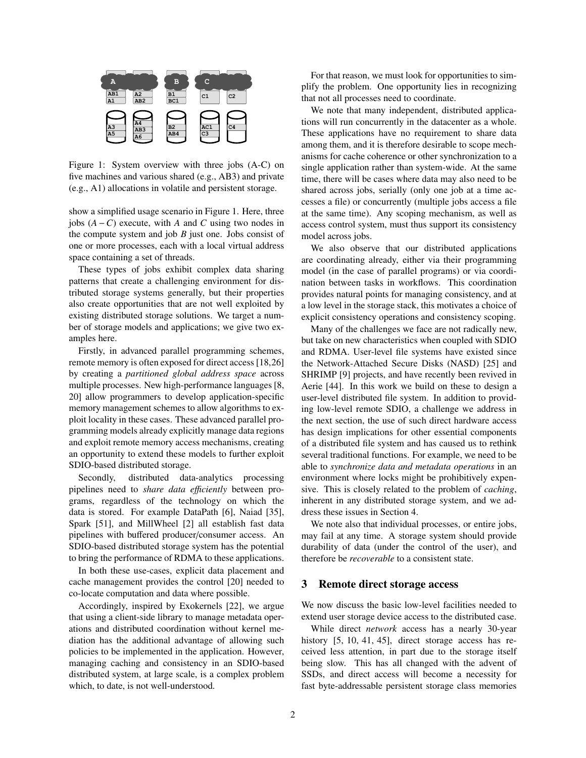

Figure 1: System overview with three jobs (A-C) on five machines and various shared (e.g., AB3) and private (e.g., A1) allocations in volatile and persistent storage.

show a simplified usage scenario in Figure 1. Here, three jobs (*A* −*C*) execute, with *A* and *C* using two nodes in the compute system and job *B* just one. Jobs consist of one or more processes, each with a local virtual address space containing a set of threads.

These types of jobs exhibit complex data sharing patterns that create a challenging environment for distributed storage systems generally, but their properties also create opportunities that are not well exploited by existing distributed storage solutions. We target a number of storage models and applications; we give two examples here.

Firstly, in advanced parallel programming schemes, remote memory is often exposed for direct access [18,26] by creating a *partitioned global address space* across multiple processes. New high-performance languages [8, 20] allow programmers to develop application-specific memory management schemes to allow algorithms to exploit locality in these cases. These advanced parallel programming models already explicitly manage data regions and exploit remote memory access mechanisms, creating an opportunity to extend these models to further exploit SDIO-based distributed storage.

Secondly, distributed data-analytics processing pipelines need to *share data e*ffi*ciently* between programs, regardless of the technology on which the data is stored. For example DataPath [6], Naiad [35], Spark [51], and MillWheel [2] all establish fast data pipelines with buffered producer/consumer access. An SDIO-based distributed storage system has the potential to bring the performance of RDMA to these applications.

In both these use-cases, explicit data placement and cache management provides the control [20] needed to co-locate computation and data where possible.

Accordingly, inspired by Exokernels [22], we argue that using a client-side library to manage metadata operations and distributed coordination without kernel mediation has the additional advantage of allowing such policies to be implemented in the application. However, managing caching and consistency in an SDIO-based distributed system, at large scale, is a complex problem which, to date, is not well-understood.

For that reason, we must look for opportunities to simplify the problem. One opportunity lies in recognizing that not all processes need to coordinate.

We note that many independent, distributed applications will run concurrently in the datacenter as a whole. These applications have no requirement to share data among them, and it is therefore desirable to scope mechanisms for cache coherence or other synchronization to a single application rather than system-wide. At the same time, there will be cases where data may also need to be shared across jobs, serially (only one job at a time accesses a file) or concurrently (multiple jobs access a file at the same time). Any scoping mechanism, as well as access control system, must thus support its consistency model across jobs.

We also observe that our distributed applications are coordinating already, either via their programming model (in the case of parallel programs) or via coordination between tasks in workflows. This coordination provides natural points for managing consistency, and at a low level in the storage stack, this motivates a choice of explicit consistency operations and consistency scoping.

Many of the challenges we face are not radically new, but take on new characteristics when coupled with SDIO and RDMA. User-level file systems have existed since the Network-Attached Secure Disks (NASD) [25] and SHRIMP [9] projects, and have recently been revived in Aerie [44]. In this work we build on these to design a user-level distributed file system. In addition to providing low-level remote SDIO, a challenge we address in the next section, the use of such direct hardware access has design implications for other essential components of a distributed file system and has caused us to rethink several traditional functions. For example, we need to be able to *synchronize data and metadata operations* in an environment where locks might be prohibitively expensive. This is closely related to the problem of *caching*, inherent in any distributed storage system, and we address these issues in Section 4.

We note also that individual processes, or entire jobs, may fail at any time. A storage system should provide durability of data (under the control of the user), and therefore be *recoverable* to a consistent state.

#### 3 Remote direct storage access

We now discuss the basic low-level facilities needed to extend user storage device access to the distributed case.

While direct *network* access has a nearly 30-year history [5, 10, 41, 45], direct storage access has received less attention, in part due to the storage itself being slow. This has all changed with the advent of SSDs, and direct access will become a necessity for fast byte-addressable persistent storage class memories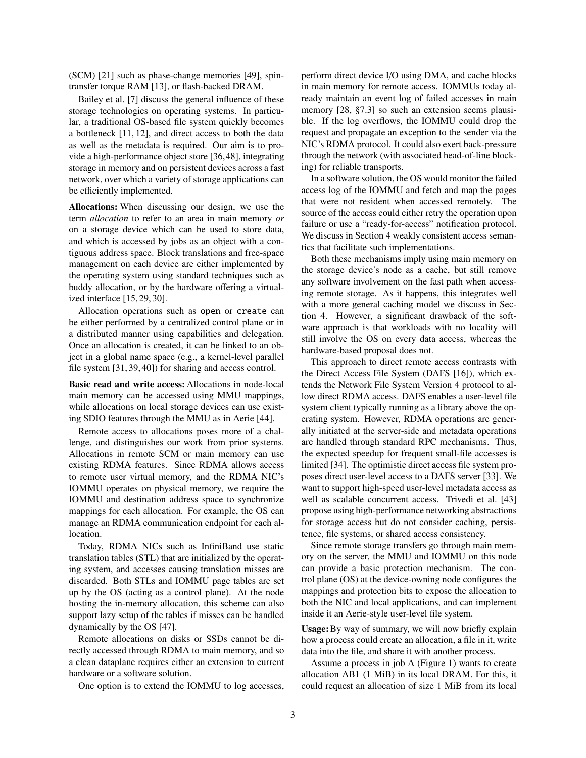(SCM) [21] such as phase-change memories [49], spintransfer torque RAM [13], or flash-backed DRAM.

Bailey et al. [7] discuss the general influence of these storage technologies on operating systems. In particular, a traditional OS-based file system quickly becomes a bottleneck [11, 12], and direct access to both the data as well as the metadata is required. Our aim is to provide a high-performance object store [36,48], integrating storage in memory and on persistent devices across a fast network, over which a variety of storage applications can be efficiently implemented.

Allocations: When discussing our design, we use the term *allocation* to refer to an area in main memory *or* on a storage device which can be used to store data, and which is accessed by jobs as an object with a contiguous address space. Block translations and free-space management on each device are either implemented by the operating system using standard techniques such as buddy allocation, or by the hardware offering a virtualized interface [15, 29, 30].

Allocation operations such as open or create can be either performed by a centralized control plane or in a distributed manner using capabilities and delegation. Once an allocation is created, it can be linked to an object in a global name space (e.g., a kernel-level parallel file system [31, 39, 40]) for sharing and access control.

Basic read and write access: Allocations in node-local main memory can be accessed using MMU mappings, while allocations on local storage devices can use existing SDIO features through the MMU as in Aerie [44].

Remote access to allocations poses more of a challenge, and distinguishes our work from prior systems. Allocations in remote SCM or main memory can use existing RDMA features. Since RDMA allows access to remote user virtual memory, and the RDMA NIC's IOMMU operates on physical memory, we require the IOMMU and destination address space to synchronize mappings for each allocation. For example, the OS can manage an RDMA communication endpoint for each allocation.

Today, RDMA NICs such as InfiniBand use static translation tables (STL) that are initialized by the operating system, and accesses causing translation misses are discarded. Both STLs and IOMMU page tables are set up by the OS (acting as a control plane). At the node hosting the in-memory allocation, this scheme can also support lazy setup of the tables if misses can be handled dynamically by the OS [47].

Remote allocations on disks or SSDs cannot be directly accessed through RDMA to main memory, and so a clean dataplane requires either an extension to current hardware or a software solution.

One option is to extend the IOMMU to log accesses,

perform direct device I/O using DMA, and cache blocks in main memory for remote access. IOMMUs today already maintain an event log of failed accesses in main memory [28, §7.3] so such an extension seems plausible. If the log overflows, the IOMMU could drop the request and propagate an exception to the sender via the NIC's RDMA protocol. It could also exert back-pressure through the network (with associated head-of-line blocking) for reliable transports.

In a software solution, the OS would monitor the failed access log of the IOMMU and fetch and map the pages that were not resident when accessed remotely. The source of the access could either retry the operation upon failure or use a "ready-for-access" notification protocol. We discuss in Section 4 weakly consistent access semantics that facilitate such implementations.

Both these mechanisms imply using main memory on the storage device's node as a cache, but still remove any software involvement on the fast path when accessing remote storage. As it happens, this integrates well with a more general caching model we discuss in Section 4. However, a significant drawback of the software approach is that workloads with no locality will still involve the OS on every data access, whereas the hardware-based proposal does not.

This approach to direct remote access contrasts with the Direct Access File System (DAFS [16]), which extends the Network File System Version 4 protocol to allow direct RDMA access. DAFS enables a user-level file system client typically running as a library above the operating system. However, RDMA operations are generally initiated at the server-side and metadata operations are handled through standard RPC mechanisms. Thus, the expected speedup for frequent small-file accesses is limited [34]. The optimistic direct access file system proposes direct user-level access to a DAFS server [33]. We want to support high-speed user-level metadata access as well as scalable concurrent access. Trivedi et al. [43] propose using high-performance networking abstractions for storage access but do not consider caching, persistence, file systems, or shared access consistency.

Since remote storage transfers go through main memory on the server, the MMU and IOMMU on this node can provide a basic protection mechanism. The control plane (OS) at the device-owning node configures the mappings and protection bits to expose the allocation to both the NIC and local applications, and can implement inside it an Aerie-style user-level file system.

Usage:By way of summary, we will now briefly explain how a process could create an allocation, a file in it, write data into the file, and share it with another process.

Assume a process in job A (Figure 1) wants to create allocation AB1 (1 MiB) in its local DRAM. For this, it could request an allocation of size 1 MiB from its local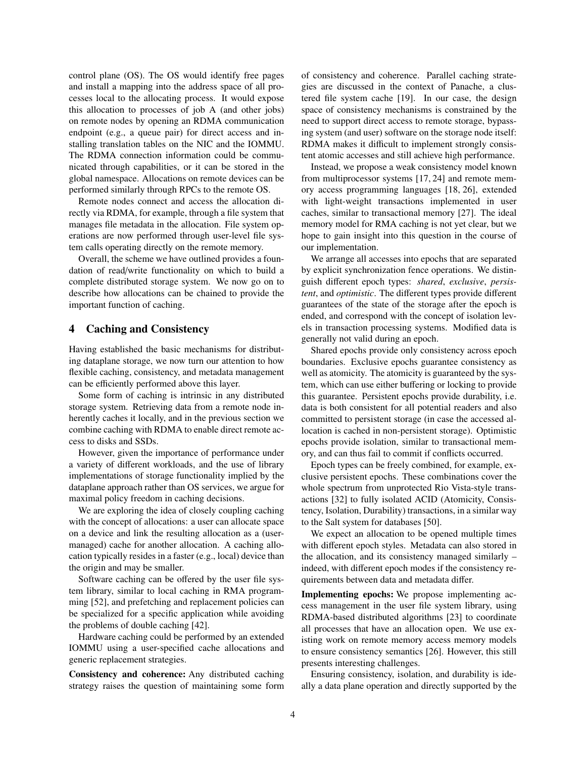control plane (OS). The OS would identify free pages and install a mapping into the address space of all processes local to the allocating process. It would expose this allocation to processes of job A (and other jobs) on remote nodes by opening an RDMA communication endpoint (e.g., a queue pair) for direct access and installing translation tables on the NIC and the IOMMU. The RDMA connection information could be communicated through capabilities, or it can be stored in the global namespace. Allocations on remote devices can be performed similarly through RPCs to the remote OS.

Remote nodes connect and access the allocation directly via RDMA, for example, through a file system that manages file metadata in the allocation. File system operations are now performed through user-level file system calls operating directly on the remote memory.

Overall, the scheme we have outlined provides a foundation of read/write functionality on which to build a complete distributed storage system. We now go on to describe how allocations can be chained to provide the important function of caching.

### 4 Caching and Consistency

Having established the basic mechanisms for distributing dataplane storage, we now turn our attention to how flexible caching, consistency, and metadata management can be efficiently performed above this layer.

Some form of caching is intrinsic in any distributed storage system. Retrieving data from a remote node inherently caches it locally, and in the previous section we combine caching with RDMA to enable direct remote access to disks and SSDs.

However, given the importance of performance under a variety of different workloads, and the use of library implementations of storage functionality implied by the dataplane approach rather than OS services, we argue for maximal policy freedom in caching decisions.

We are exploring the idea of closely coupling caching with the concept of allocations: a user can allocate space on a device and link the resulting allocation as a (usermanaged) cache for another allocation. A caching allocation typically resides in a faster (e.g., local) device than the origin and may be smaller.

Software caching can be offered by the user file system library, similar to local caching in RMA programming [52], and prefetching and replacement policies can be specialized for a specific application while avoiding the problems of double caching [42].

Hardware caching could be performed by an extended IOMMU using a user-specified cache allocations and generic replacement strategies.

Consistency and coherence: Any distributed caching strategy raises the question of maintaining some form of consistency and coherence. Parallel caching strategies are discussed in the context of Panache, a clustered file system cache [19]. In our case, the design space of consistency mechanisms is constrained by the need to support direct access to remote storage, bypassing system (and user) software on the storage node itself: RDMA makes it difficult to implement strongly consistent atomic accesses and still achieve high performance.

Instead, we propose a weak consistency model known from multiprocessor systems [17, 24] and remote memory access programming languages [18, 26], extended with light-weight transactions implemented in user caches, similar to transactional memory [27]. The ideal memory model for RMA caching is not yet clear, but we hope to gain insight into this question in the course of our implementation.

We arrange all accesses into epochs that are separated by explicit synchronization fence operations. We distinguish different epoch types: *shared*, *exclusive*, *persistent*, and *optimistic*. The different types provide different guarantees of the state of the storage after the epoch is ended, and correspond with the concept of isolation levels in transaction processing systems. Modified data is generally not valid during an epoch.

Shared epochs provide only consistency across epoch boundaries. Exclusive epochs guarantee consistency as well as atomicity. The atomicity is guaranteed by the system, which can use either buffering or locking to provide this guarantee. Persistent epochs provide durability, i.e. data is both consistent for all potential readers and also committed to persistent storage (in case the accessed allocation is cached in non-persistent storage). Optimistic epochs provide isolation, similar to transactional memory, and can thus fail to commit if conflicts occurred.

Epoch types can be freely combined, for example, exclusive persistent epochs. These combinations cover the whole spectrum from unprotected Rio Vista-style transactions [32] to fully isolated ACID (Atomicity, Consistency, Isolation, Durability) transactions, in a similar way to the Salt system for databases [50].

We expect an allocation to be opened multiple times with different epoch styles. Metadata can also stored in the allocation, and its consistency managed similarly – indeed, with different epoch modes if the consistency requirements between data and metadata differ.

Implementing epochs: We propose implementing access management in the user file system library, using RDMA-based distributed algorithms [23] to coordinate all processes that have an allocation open. We use existing work on remote memory access memory models to ensure consistency semantics [26]. However, this still presents interesting challenges.

Ensuring consistency, isolation, and durability is ideally a data plane operation and directly supported by the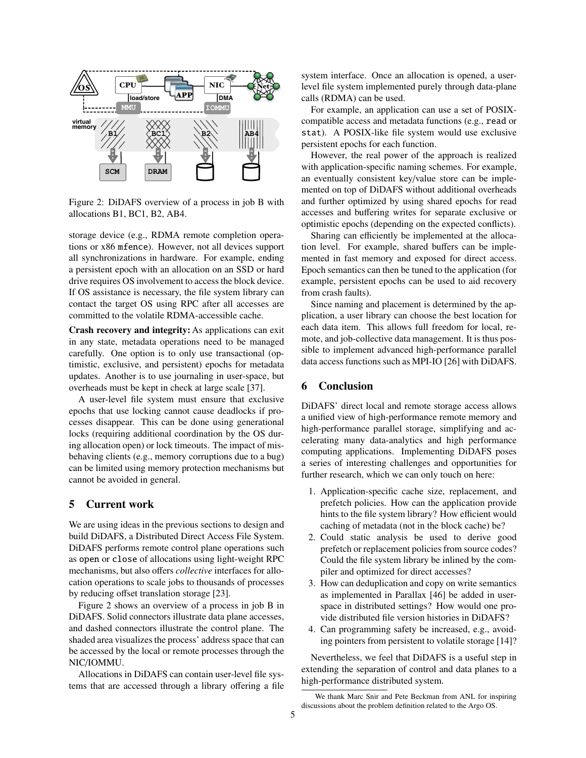

Figure 2: DiDAFS overview of a process in job B with allocations B1, BC1, B2, AB4.

storage device (e.g., RDMA remote completion operations or x86 mfence). However, not all devices support all synchronizations in hardware. For example, ending a persistent epoch with an allocation on an SSD or hard drive requires OS involvement to access the block device. If OS assistance is necessary, the file system library can contact the target OS using RPC after all accesses are committed to the volatile RDMA-accessible cache.

Crash recovery and integrity: As applications can exit in any state, metadata operations need to be managed carefully. One option is to only use transactional (optimistic, exclusive, and persistent) epochs for metadata updates. Another is to use journaling in user-space, but overheads must be kept in check at large scale [37].

A user-level file system must ensure that exclusive epochs that use locking cannot cause deadlocks if processes disappear. This can be done using generational locks (requiring additional coordination by the OS during allocation open) or lock timeouts. The impact of misbehaving clients (e.g., memory corruptions due to a bug) can be limited using memory protection mechanisms but cannot be avoided in general.

### 5 Current work

We are using ideas in the previous sections to design and build DiDAFS, a Distributed Direct Access File System. DiDAFS performs remote control plane operations such as open or close of allocations using light-weight RPC mechanisms, but also offers *collective* interfaces for allocation operations to scale jobs to thousands of processes by reducing offset translation storage [23].

Figure 2 shows an overview of a process in job B in DiDAFS. Solid connectors illustrate data plane accesses, and dashed connectors illustrate the control plane. The shaded area visualizes the process' address space that can be accessed by the local or remote processes through the NIC/IOMMU.

Allocations in DiDAFS can contain user-level file systems that are accessed through a library offering a file system interface. Once an allocation is opened, a userlevel file system implemented purely through data-plane calls (RDMA) can be used.

For example, an application can use a set of POSIXcompatible access and metadata functions (e.g., read or stat). A POSIX-like file system would use exclusive persistent epochs for each function.

However, the real power of the approach is realized with application-specific naming schemes. For example, an eventually consistent key/value store can be implemented on top of DiDAFS without additional overheads and further optimized by using shared epochs for read accesses and buffering writes for separate exclusive or optimistic epochs (depending on the expected conflicts).

Sharing can efficiently be implemented at the allocation level. For example, shared buffers can be implemented in fast memory and exposed for direct access. Epoch semantics can then be tuned to the application (for example, persistent epochs can be used to aid recovery from crash faults).

Since naming and placement is determined by the application, a user library can choose the best location for each data item. This allows full freedom for local, remote, and job-collective data management. It is thus possible to implement advanced high-performance parallel data access functions such as MPI-IO [26] with DiDAFS.

# 6 Conclusion

DiDAFS' direct local and remote storage access allows a unified view of high-performance remote memory and high-performance parallel storage, simplifying and accelerating many data-analytics and high performance computing applications. Implementing DiDAFS poses a series of interesting challenges and opportunities for further research, which we can only touch on here:

- 1. Application-specific cache size, replacement, and prefetch policies. How can the application provide hints to the file system library? How efficient would caching of metadata (not in the block cache) be?
- 2. Could static analysis be used to derive good prefetch or replacement policies from source codes? Could the file system library be inlined by the compiler and optimized for direct accesses?
- 3. How can deduplication and copy on write semantics as implemented in Parallax [46] be added in userspace in distributed settings? How would one provide distributed file version histories in DiDAFS?
- 4. Can programming safety be increased, e.g., avoiding pointers from persistent to volatile storage [14]?

Nevertheless, we feel that DiDAFS is a useful step in extending the separation of control and data planes to a high-performance distributed system.

We thank Marc Snir and Pete Beckman from ANL for inspiring discussions about the problem definition related to the Argo OS.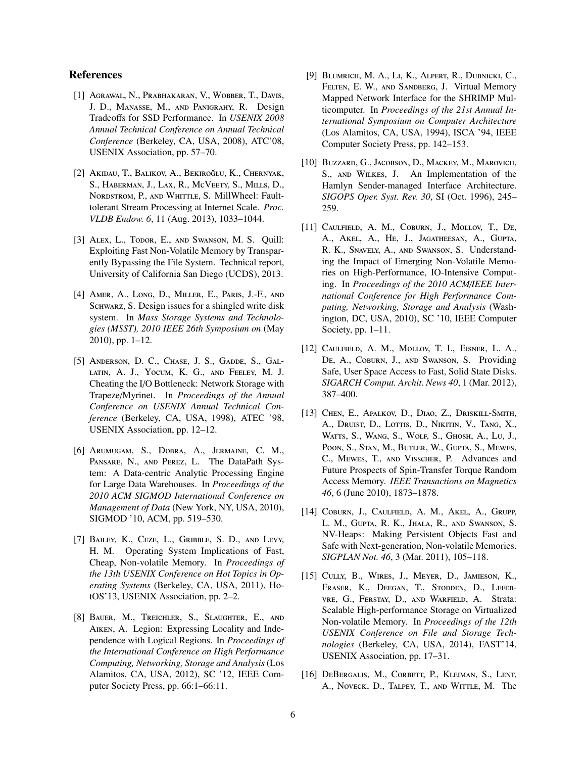### **References**

- [1] AGRAWAL, N., PRABHAKARAN, V., WOBBER, T., DAVIS, J. D., MANASSE, M., AND PANIGRAHY, R. Design Tradeoffs for SSD Performance. In USENIX 2008 Annual Technical Conference on Annual Technical Conference (Berkeley, CA, USA, 2008), ATC'08, USENIX Association, pp. 57-70.
- [2] AKIDAU, T., BALIKOV, A., BEKIROĞLU, K., CHERNYAK, S., HABERMAN, J., LAX, R., MCVEETY, S., MILLS, D., NORDSTROM, P., AND WHITTLE, S. MillWheel: Faulttolerant Stream Processing at Internet Scale. Proc. VLDB Endow. 6, 11 (Aug. 2013), 1033-1044.
- [3] ALEX, L., TODOR, E., AND SWANSON, M. S. Quill: Exploiting Fast Non-Volatile Memory by Transparently Bypassing the File System. Technical report, University of California San Diego (UCDS), 2013.
- [4] AMER, A., LONG, D., MILLER, E., PARIS, J.-F., AND SCHWARZ, S. Design issues for a shingled write disk system. In Mass Storage Systems and Technologies (MSST), 2010 IEEE 26th Symposium on (May  $2010$ , pp.  $1-12$ .
- [5] ANDERSON, D. C., CHASE, J. S., GADDE, S., GAL-LATIN, A. J., YOCUM, K. G., AND FEELEY, M. J. Cheating the I/O Bottleneck: Network Storage with Trapeze/Myrinet. In Proceedings of the Annual Conference on USENIX Annual Technical Conference (Berkeley, CA, USA, 1998), ATEC '98, USENIX Association, pp. 12–12.
- [6] ARUMUGAM, S., DOBRA, A., JERMAINE, C. M., PANSARE, N., AND PEREZ, L. The DataPath System: A Data-centric Analytic Processing Engine for Large Data Warehouses. In Proceedings of the 2010 ACM SIGMOD International Conference on Management of Data (New York, NY, USA, 2010), SIGMOD '10, ACM, pp. 519-530.
- [7] BAILEY, K., CEZE, L., GRIBBLE, S. D., AND LEVY, H. M. Operating System Implications of Fast, Cheap, Non-volatile Memory. In Proceedings of the 13th USENIX Conference on Hot Topics in Op*erating Systems* (Berkeley, CA, USA, 2011), HotOS'13, USENIX Association, pp. 2–2.
- [8] BAUER, M., TREICHLER, S., SLAUGHTER, E., AND AIKEN, A. Legion: Expressing Locality and Independence with Logical Regions. In Proceedings of the International Conference on High Performance Computing, Networking, Storage and Analysis (Los Alamitos, CA, USA, 2012), SC '12, IEEE Computer Society Press, pp. 66:1–66:11.
- [9] BLUMRICH, M. A., LI, K., ALPERT, R., DUBNICKI, C., FELTEN, E. W., AND SANDBERG, J. Virtual Memory Mapped Network Interface for the SHRIMP Multicomputer. In Proceedings of the 21st Annual International Symposium on Computer Architecture (Los Alamitos, CA, USA, 1994), ISCA '94, IEEE Computer Society Press, pp. 142–153.
- [10] BUZZARD, G., JACOBSON, D., MACKEY, M., MAROVICH, S., AND WILKES, J. An Implementation of the Hamlyn Sender-managed Interface Architecture. SIGOPS Oper. Syst. Rev. 30, SI (Oct. 1996), 245-259.
- [11] CAULFIELD, A. M., COBURN, J., MOLLOV, T., DE, A., AKEL, A., HE, J., JAGATHEESAN, A., GUPTA, R. K., SNAVELY, A., AND SWANSON, S. Understanding the Impact of Emerging Non-Volatile Memories on High-Performance, IO-Intensive Computing. In Proceedings of the 2010 ACM/IEEE International Conference for High Performance Computing, Networking, Storage and Analysis (Washington, DC, USA, 2010), SC '10, IEEE Computer Society, pp. 1-11.
- [12] CAULFIELD, A. M., MOLLOV, T. I., EISNER, L. A., DE, A., COBURN, J., AND SWANSON, S. Providing Safe, User Space Access to Fast, Solid State Disks. SIGARCH Comput. Archit. News 40, 1 (Mar. 2012), 387-400.
- [13] CHEN, E., APALKOV, D., DIAO, Z., DRISKILL-SMITH, A., Druist, D., Lottis, D., Nikitin, V., Tang, X., WATTS, S., WANG, S., WOLF, S., GHOSH, A., LU, J., POON, S., STAN, M., BUTLER, W., GUPTA, S., MEWES, C., MEWES, T., AND VISSCHER, P. Advances and Future Prospects of Spin-Transfer Torque Random **Access Memory. IEEE Transactions on Magnetics** 46, 6 (June 2010), 1873–1878.
- [14] COBURN, J., CAULFIELD, A. M., AKEL, A., GRUPP, L. M., GUPTA, R. K., JHALA, R., AND SWANSON, S. NV-Heaps: Making Persistent Objects Fast and Safe with Next-generation, Non-volatile Memories. SIGPLAN Not. 46, 3 (Mar. 2011), 105-118.
- [15] CULLY, B., WIRES, J., MEYER, D., JAMIESON, K., FRASER, K., DEEGAN, T., STODDEN, D., LEFEB-VRE, G., FERSTAY, D., AND WARFIELD, A. Strata: Scalable High-performance Storage on Virtualized Non-volatile Memory. In Proceedings of the 12th **USENIX Conference on File and Storage Tech**nologies (Berkeley, CA, USA, 2014), FAST'14, USENIX Association, pp. 17–31.
- [16] DEBERGALIS, M., CORBETT, P., KLEIMAN, S., LENT, A., NOVECK, D., TALPEY, T., AND WITTLE, M. The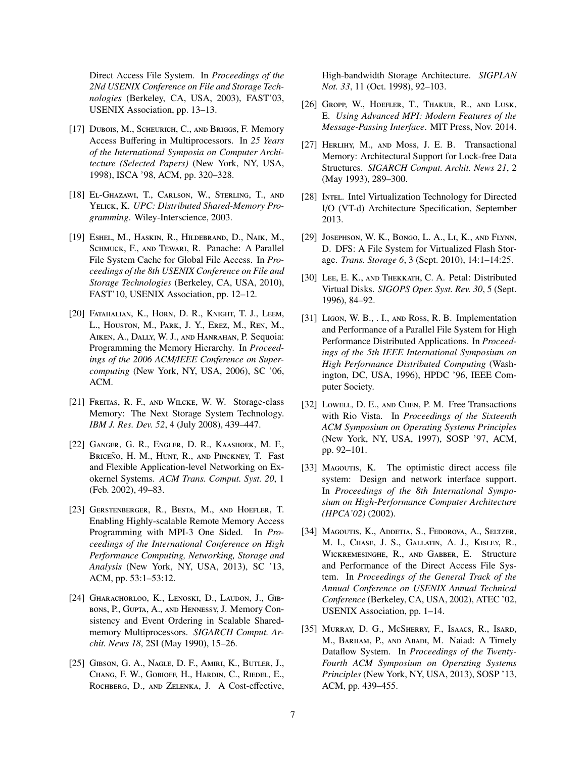Direct Access File System. In Proceedings of the 2Nd USENIX Conference on File and Storage Technologies (Berkeley, CA, USA, 2003), FAST'03, USENIX Association, pp. 13-13.

- [17] DUBOIS, M., SCHEURICH, C., AND BRIGGS, F. Memory Access Buffering in Multiprocessors. In 25 Years of the International Symposia on Computer Architecture (Selected Papers) (New York, NY, USA, 1998), ISCA '98, ACM, pp. 320-328.
- [18] EL-GHAZAWI, T., CARLSON, W., STERLING, T., AND YELICK, K. UPC: Distributed Shared-Memory Programming. Wiley-Interscience, 2003.
- [19] ESHEL, M., HASKIN, R., HILDEBRAND, D., NAIK, M., SCHMUCK, F., AND TEWARI, R. Panache: A Parallel File System Cache for Global File Access. In Proceedings of the 8th USENIX Conference on File and Storage Technologies (Berkeley, CA, USA, 2010), FAST'10, USENIX Association, pp. 12-12.
- [20] FATAHALIAN, K., HORN, D. R., KNIGHT, T. J., LEEM, L., HOUSTON, M., PARK, J. Y., EREZ, M., REN, M., AIKEN, A., DALLY, W. J., AND HANRAHAN, P. Sequoia: Programming the Memory Hierarchy. In Proceedings of the 2006 ACM/IEEE Conference on Super*computing* (New York, NY, USA, 2006), SC '06, ACM.
- [21] FREITAS, R. F., AND WILCKE, W. W. Storage-class Memory: The Next Storage System Technology. IBM J. Res. Dev. 52, 4 (July 2008), 439-447.
- [22] GANGER, G. R., ENGLER, D. R., KAASHOEK, M. F., BRICEÑO, H. M., HUNT, R., AND PINCKNEY, T. Fast and Flexible Application-level Networking on Exokernel Systems. ACM Trans. Comput. Syst. 20, 1 (Feb. 2002), 49-83.
- [23] GERSTENBERGER, R., BESTA, M., AND HOEFLER, T. Enabling Highly-scalable Remote Memory Access Programming with MPI-3 One Sided. In Proceedings of the International Conference on High Performance Computing, Networking, Storage and Analysis (New York, NY, USA, 2013), SC '13, ACM, pp. 53:1-53:12.
- [24] GHARACHORLOO, K., LENOSKI, D., LAUDON, J., GIB-BONS, P., GUPTA, A., AND HENNESSY, J. Memory Consistency and Event Ordering in Scalable Sharedmemory Multiprocessors. SIGARCH Comput. Ar*chit. News 18, 2SI (May 1990), 15–26.*
- [25] GIBSON, G. A., NAGLE, D. F., AMIRI, K., BUTLER, J., CHANG, F. W., GOBIOFF, H., HARDIN, C., RIEDEL, E., ROCHBERG, D., AND ZELENKA, J. A Cost-effective,

High-bandwidth Storage Architecture. SIGPLAN Not. 33, 11 (Oct. 1998), 92-103.

- [26] GROPP, W., HOEFLER, T., THAKUR, R., AND LUSK, E. Using Advanced MPI: Modern Features of the Message-Passing Interface. MIT Press, Nov. 2014.
- [27] HERLIHY, M., AND Moss, J. E. B. Transactional Memory: Architectural Support for Lock-free Data Structures. SIGARCH Comput. Archit. News 21, 2 (May 1993), 289-300.
- [28] INTEL. Intel Virtualization Technology for Directed I/O (VT-d) Architecture Specification, September 2013.
- [29] JOSEPHSON, W. K., BONGO, L. A., LI, K., AND FLYNN, D. DFS: A File System for Virtualized Flash Storage. *Trans. Storage 6, 3 (Sept. 2010), 14:1–14:25.*
- [30] LEE, E. K., AND THEKKATH, C. A. Petal: Distributed Virtual Disks. SIGOPS Oper. Syst. Rev. 30, 5 (Sept. 1996), 84-92.
- [31] LIGON, W. B., . I., AND ROSS, R. B. Implementation and Performance of a Parallel File System for High Performance Distributed Applications. In Proceedings of the 5th IEEE International Symposium on High Performance Distributed Computing (Washington, DC, USA, 1996), HPDC '96, IEEE Computer Society.
- [32] LOWELL, D. E., AND CHEN, P. M. Free Transactions with Rio Vista. In Proceedings of the Sixteenth **ACM Symposium on Operating Systems Principles** (New York, NY, USA, 1997), SOSP '97, ACM, pp. 92-101.
- [33] MAGOUTIS, K. The optimistic direct access file system: Design and network interface support. In Proceedings of the 8th International Symposium on High-Performance Computer Architecture  $(HPCA'02)$  (2002).
- [34] MAGOUTIS, K., ADDETIA, S., FEDOROVA, A., SELTZER, M. I., Chase, J. S., Gallatin, A. J., Kisley, R., WICKREMESINGHE, R., AND GABBER, E. Structure and Performance of the Direct Access File System. In Proceedings of the General Track of the Annual Conference on USENIX Annual Technical Conference (Berkeley, CA, USA, 2002), ATEC '02, USENIX Association, pp. 1-14.
- [35] MURRAY, D. G., MCSHERRY, F., ISAACS, R., ISARD, M., BARHAM, P., AND ABADI, M. Naiad: A Timely Dataflow System. In Proceedings of the Twenty-Fourth ACM Symposium on Operating Systems Principles (New York, NY, USA, 2013), SOSP '13, ACM, pp. 439-455.